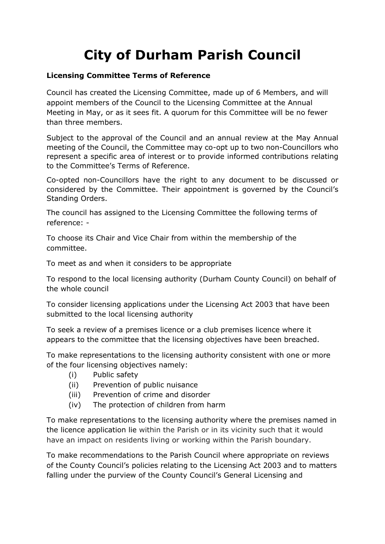## **City of Durham Parish Council**

## **Licensing Committee Terms of Reference**

Council has created the Licensing Committee, made up of 6 Members, and will appoint members of the Council to the Licensing Committee at the Annual Meeting in May, or as it sees fit. A quorum for this Committee will be no fewer than three members.

Subject to the approval of the Council and an annual review at the May Annual meeting of the Council, the Committee may co-opt up to two non-Councillors who represent a specific area of interest or to provide informed contributions relating to the Committee's Terms of Reference.

Co-opted non-Councillors have the right to any document to be discussed or considered by the Committee. Their appointment is governed by the Council's Standing Orders.

The council has assigned to the Licensing Committee the following terms of reference: -

To choose its Chair and Vice Chair from within the membership of the committee.

To meet as and when it considers to be appropriate

To respond to the local licensing authority (Durham County Council) on behalf of the whole council

To consider licensing applications under the Licensing Act 2003 that have been submitted to the local licensing authority

To seek a review of a premises licence or a club premises licence where it appears to the committee that the licensing objectives have been breached.

To make representations to the licensing authority consistent with one or more of the four licensing objectives namely:

- (i) Public safety
- (ii) Prevention of public nuisance
- (iii) Prevention of crime and disorder
- (iv) The protection of children from harm

To make representations to the licensing authority where the premises named in the licence application lie within the Parish or in its vicinity such that it would have an impact on residents living or working within the Parish boundary.

To make recommendations to the Parish Council where appropriate on reviews of the County Council's policies relating to the Licensing Act 2003 and to matters falling under the purview of the County Council's General Licensing and